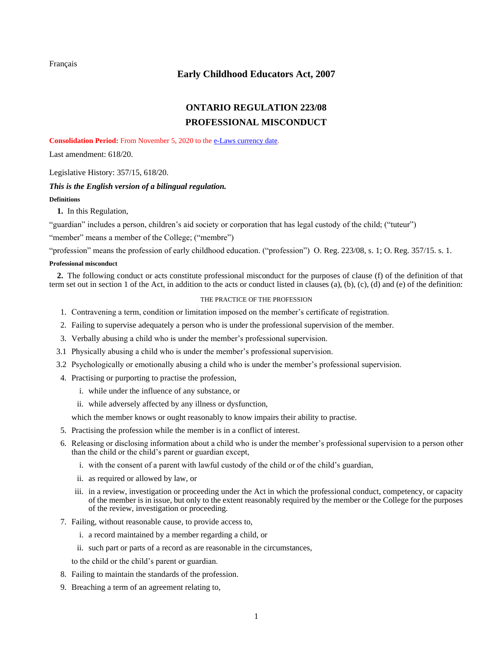<span id="page-0-0"></span>[Français](http://www.ontario.ca/fr/lois/reglement/080223)

## **Early Childhood Educators Act, 2007**

# **[ONTARIO REGULATION 223/08](https://www.ontario.ca/laws/regulation/R08223) PROFESSIONAL MISCONDUCT**

**Consolidation Period:** From November 5, 2020 to the [e-Laws currency date.](http://www.e-laws.gov.on.ca/navigation?file=currencyDates&lang=en)

Last amendment: [618/20.](https://www.ontario.ca/laws/regulation/R20618)

Legislative History: [357/15,](https://www.ontario.ca/laws/regulation/R15357) [618/20.](https://www.ontario.ca/laws/regulation/R20618)

# *This is the English version of a bilingual regulation.*

## **Definitions**

**1.** In this Regulation,

"guardian" includes a person, children's aid society or corporation that has legal custody of the child; ("tuteur")

"member" means a member of the College; ("membre")

"profession" means the profession of early childhood education. ("profession") O. Reg. 223/08, s. 1; O. Reg. 357/15. s. 1.

### **Professional misconduct**

**2.** The following conduct or acts constitute professional misconduct for the purposes of clause (f) of the definition of that term set out in section 1 of the Act, in addition to the acts or conduct listed in clauses (a), (b), (c), (d) and (e) of the definition:

### THE PRACTICE OF THE PROFESSION

- 1. Contravening a term, condition or limitation imposed on the member's certificate of registration.
- 2. Failing to supervise adequately a person who is under the professional supervision of the member.
- 3. Verbally abusing a child who is under the member's professional supervision.
- 3.1 Physically abusing a child who is under the member's professional supervision.
- 3.2 Psychologically or emotionally abusing a child who is under the member's professional supervision.
- 4. Practising or purporting to practise the profession,
	- i. while under the influence of any substance, or
	- ii. while adversely affected by any illness or dysfunction,

which the member knows or ought reasonably to know impairs their ability to practise.

- 5. Practising the profession while the member is in a conflict of interest.
- 6. Releasing or disclosing information about a child who is under the member's professional supervision to a person other than the child or the child's parent or guardian except,
	- i. with the consent of a parent with lawful custody of the child or of the child's guardian,
	- ii. as required or allowed by law, or
	- iii. in a review, investigation or proceeding under the Act in which the professional conduct, competency, or capacity of the member is in issue, but only to the extent reasonably required by the member or the College for the purposes of the review, investigation or proceeding.
- 7. Failing, without reasonable cause, to provide access to,
	- i. a record maintained by a member regarding a child, or
	- ii. such part or parts of a record as are reasonable in the circumstances,

to the child or the child's parent or guardian.

- 8. Failing to maintain the standards of the profession.
- 9. Breaching a term of an agreement relating to,